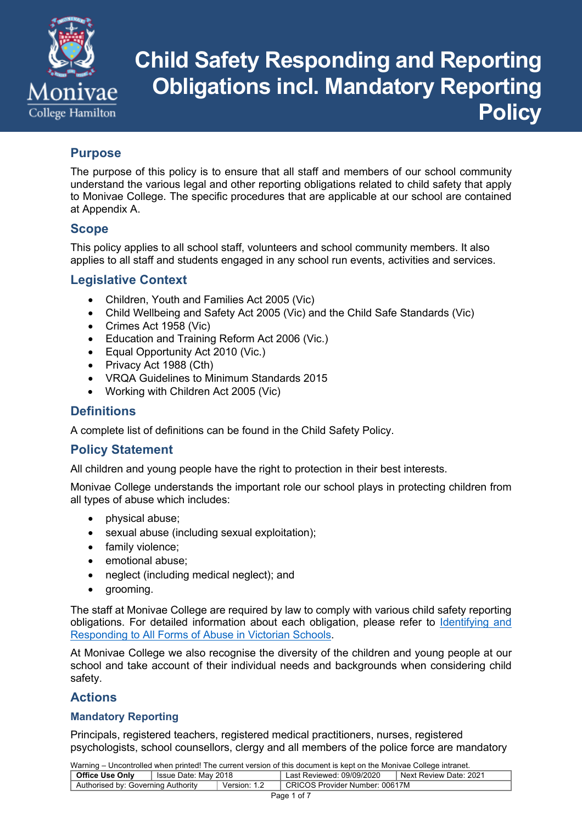

# **Child Safety Responding and Reporting Obligations incl. Mandatory Reporting Policy**

# **Purpose**

The purpose of this policy is to ensure that all staff and members of our school community understand the various legal and other reporting obligations related to child safety that apply to Monivae College. The specific procedures that are applicable at our school are contained at Appendix A.

### **Scope**

This policy applies to all school staff, volunteers and school community members. It also applies to all staff and students engaged in any school run events, activities and services.

# **Legislative Context**

- Children, Youth and Families Act 2005 (Vic)
- Child Wellbeing and Safety Act 2005 (Vic) and the Child Safe Standards (Vic)
- Crimes Act 1958 (Vic)
- Education and Training Reform Act 2006 (Vic.)
- Equal Opportunity Act 2010 (Vic.)
- Privacy Act 1988 (Cth)
- VRQA Guidelines to Minimum Standards 2015
- Working with Children Act 2005 (Vic)

### **Definitions**

A complete list of definitions can be found in the Child Safety Policy.

# **Policy Statement**

All children and young people have the right to protection in their best interests.

Monivae College understands the important role our school plays in protecting children from all types of abuse which includes:

- physical abuse;
- sexual abuse (including sexual exploitation);
- family violence;
- emotional abuse;
- neglect (including medical neglect); and
- grooming.

The staff at Monivae College are required by law to comply with various child safety reporting obligations. For detailed information about each obligation, please refer to Identifying and Responding to All Forms of Abuse in Victorian Schools.

At Monivae College we also recognise the diversity of the children and young people at our school and take account of their individual needs and backgrounds when considering child safety.

# **Actions**

### **Mandatory Reporting**

Principals, registered teachers, registered medical practitioners, nurses, registered psychologists, school counsellors, clergy and all members of the police force are mandatory

| <b>Office Use Only</b>             | I Issue Date: May 2018 |              | Last Reviewed: 09/09/2020      | Next Review Date: 2021 |  |  |
|------------------------------------|------------------------|--------------|--------------------------------|------------------------|--|--|
| Authorised by: Governing Authority |                        | Version: 1.2 | CRICOS Provider Number: 00617M |                        |  |  |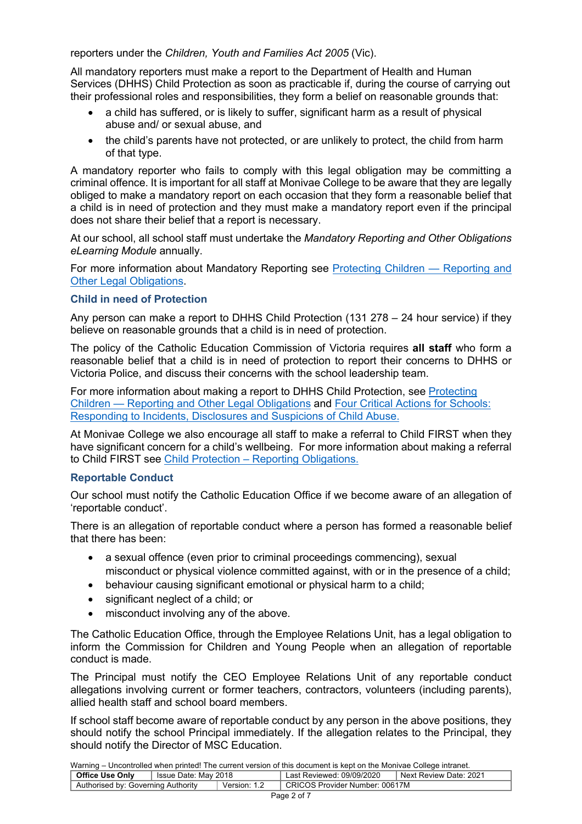reporters under the *Children, Youth and Families Act 2005* (Vic).

All mandatory reporters must make a report to the Department of Health and Human Services (DHHS) Child Protection as soon as practicable if, during the course of carrying out their professional roles and responsibilities, they form a belief on reasonable grounds that:

- a child has suffered, or is likely to suffer, significant harm as a result of physical abuse and/ or sexual abuse, and
- the child's parents have not protected, or are unlikely to protect, the child from harm of that type.

A mandatory reporter who fails to comply with this legal obligation may be committing a criminal offence. It is important for all staff at Monivae College to be aware that they are legally obliged to make a mandatory report on each occasion that they form a reasonable belief that a child is in need of protection and they must make a mandatory report even if the principal does not share their belief that a report is necessary.

At our school, all school staff must undertake the *Mandatory Reporting and Other Obligations eLearning Module* annually.

For more information about Mandatory Reporting see Protecting Children — Reporting and Other Legal Obligations.

#### **Child in need of Protection**

Any person can make a report to DHHS Child Protection (131 278 – 24 hour service) if they believe on reasonable grounds that a child is in need of protection.

The policy of the Catholic Education Commission of Victoria requires **all staff** who form a reasonable belief that a child is in need of protection to report their concerns to DHHS or Victoria Police, and discuss their concerns with the school leadership team.

For more information about making a report to DHHS Child Protection, see Protecting Children — Reporting and Other Legal Obligations and Four Critical Actions for Schools: Responding to Incidents, Disclosures and Suspicions of Child Abuse.

At Monivae College we also encourage all staff to make a referral to Child FIRST when they have significant concern for a child's wellbeing. For more information about making a referral to Child FIRST see Child Protection – Reporting Obligations.

#### **Reportable Conduct**

Our school must notify the Catholic Education Office if we become aware of an allegation of 'reportable conduct'.

There is an allegation of reportable conduct where a person has formed a reasonable belief that there has been:

- a sexual offence (even prior to criminal proceedings commencing), sexual misconduct or physical violence committed against, with or in the presence of a child;
- behaviour causing significant emotional or physical harm to a child:
- significant neglect of a child; or
- misconduct involving any of the above.

The Catholic Education Office, through the Employee Relations Unit, has a legal obligation to inform the Commission for Children and Young People when an allegation of reportable conduct is made.

The Principal must notify the CEO Employee Relations Unit of any reportable conduct allegations involving current or former teachers, contractors, volunteers (including parents), allied health staff and school board members.

If school staff become aware of reportable conduct by any person in the above positions, they should notify the school Principal immediately. If the allegation relates to the Principal, they should notify the Director of MSC Education.

| <b>Office Use Only</b>             | Issue Date: May 2018 |              | Last Reviewed: 09/09/2020      | I Next Review Date: 2021 |
|------------------------------------|----------------------|--------------|--------------------------------|--------------------------|
| Authorised by: Governing Authority |                      | Version: 1.2 | CRICOS Provider Number: 00617M |                          |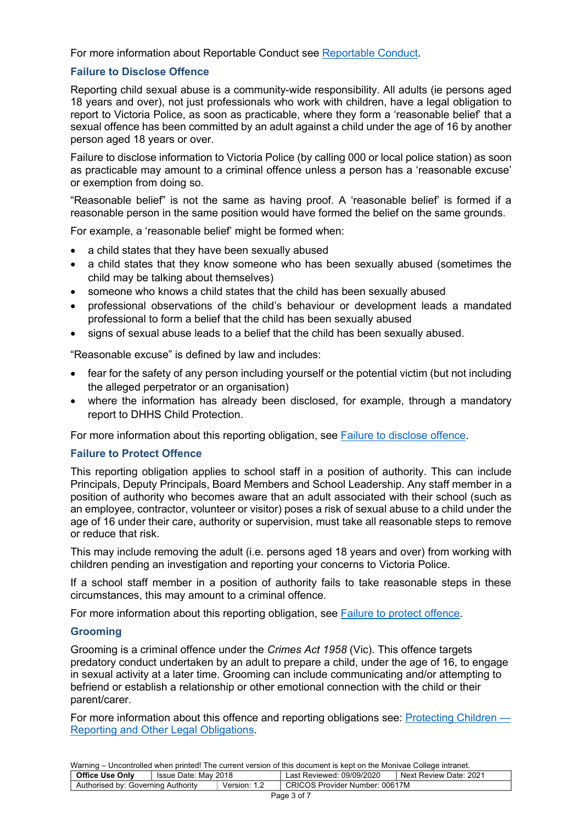For more information about Reportable Conduct see Reportable Conduct.

### **Failure to Disclose Offence**

Reporting child sexual abuse is a community-wide responsibility. All adults (ie persons aged 18 years and over), not just professionals who work with children, have a legal obligation to report to Victoria Police, as soon as practicable, where they form a 'reasonable belief' that a sexual offence has been committed by an adult against a child under the age of 16 by another person aged 18 years or over.

Failure to disclose information to Victoria Police (by calling 000 or local police station) as soon as practicable may amount to a criminal offence unless a person has a 'reasonable excuse' or exemption from doing so.

"Reasonable belief" is not the same as having proof. A 'reasonable belief' is formed if a reasonable person in the same position would have formed the belief on the same grounds.

For example, a 'reasonable belief' might be formed when:

- a child states that they have been sexually abused
- a child states that they know someone who has been sexually abused (sometimes the child may be talking about themselves)
- someone who knows a child states that the child has been sexually abused
- professional observations of the child's behaviour or development leads a mandated professional to form a belief that the child has been sexually abused
- signs of sexual abuse leads to a belief that the child has been sexually abused.

"Reasonable excuse" is defined by law and includes:

- fear for the safety of any person including yourself or the potential victim (but not including the alleged perpetrator or an organisation)
- where the information has already been disclosed, for example, through a mandatory report to DHHS Child Protection.

For more information about this reporting obligation, see Failure to disclose offence.

### **Failure to Protect Offence**

This reporting obligation applies to school staff in a position of authority. This can include Principals, Deputy Principals, Board Members and School Leadership. Any staff member in a position of authority who becomes aware that an adult associated with their school (such as an employee, contractor, volunteer or visitor) poses a risk of sexual abuse to a child under the age of 16 under their care, authority or supervision, must take all reasonable steps to remove or reduce that risk.

This may include removing the adult (i.e. persons aged 18 years and over) from working with children pending an investigation and reporting your concerns to Victoria Police.

If a school staff member in a position of authority fails to take reasonable steps in these circumstances, this may amount to a criminal offence.

For more information about this reporting obligation, see Failure to protect offence.

#### **Grooming**

Grooming is a criminal offence under the *Crimes Act 1958* (Vic). This offence targets predatory conduct undertaken by an adult to prepare a child, under the age of 16, to engage in sexual activity at a later time. Grooming can include communicating and/or attempting to befriend or establish a relationship or other emotional connection with the child or their parent/carer.

For more information about this offence and reporting obligations see: Protecting Children — Reporting and Other Legal Obligations.

| <b>Office Use Only</b>             | Ssue Date: Mav 2018 |              | Last Reviewed: 09/09/2020      | Next Review Date: 2021 |  |  |  |
|------------------------------------|---------------------|--------------|--------------------------------|------------------------|--|--|--|
| Authorised by: Governing Authority |                     | Version: 1.2 | CRICOS Provider Number: 00617M |                        |  |  |  |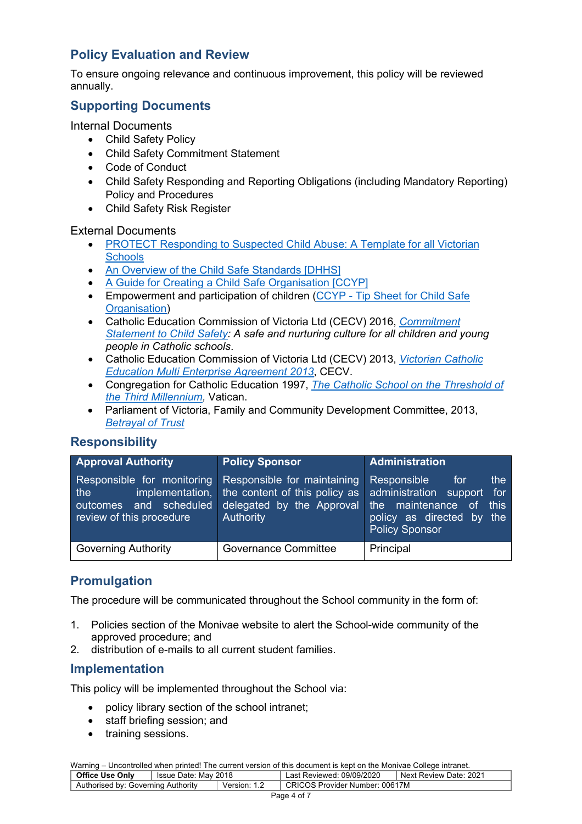# **Policy Evaluation and Review**

To ensure ongoing relevance and continuous improvement, this policy will be reviewed annually.

# **Supporting Documents**

### Internal Documents

- Child Safety Policy
- Child Safety Commitment Statement
- Code of Conduct
- Child Safety Responding and Reporting Obligations (including Mandatory Reporting) Policy and Procedures
- Child Safety Risk Register

### External Documents

- PROTECT Responding to Suspected Child Abuse: A Template for all Victorian **Schools**
- An Overview of the Child Safe Standards [DHHS]
- A Guide for Creating a Child Safe Organisation [CCYP]
- Empowerment and participation of children (CCYP Tip Sheet for Child Safe Organisation)
- Catholic Education Commission of Victoria Ltd (CECV) 2016, *Commitment Statement to Child Safety: A safe and nurturing culture for all children and young people in Catholic schools*.
- Catholic Education Commission of Victoria Ltd (CECV) 2013, *Victorian Catholic Education Multi Enterprise Agreement 2013*, CECV.
- Congregation for Catholic Education 1997, *The Catholic School on the Threshold of the Third Millennium,* Vatican.
- Parliament of Victoria, Family and Community Development Committee, 2013, *Betrayal of Trust*

# **Responsibility**

| <b>Approval Authority</b>                                                               | <b>Policy Sponsor</b>                                                                                                                             | Administration                                                                                                |  |  |
|-----------------------------------------------------------------------------------------|---------------------------------------------------------------------------------------------------------------------------------------------------|---------------------------------------------------------------------------------------------------------------|--|--|
| Responsible for monitoring<br>the<br>outcomes and scheduled<br>review of this procedure | Responsible for maintaining<br>implementation, the content of this policy as administration support for<br>delegated by the Approval<br>Authority | Responsible<br>the<br>for<br>the maintenance of<br>this<br>policy as directed by the<br><b>Policy Sponsor</b> |  |  |
| <b>Governing Authority</b>                                                              | <b>Governance Committee</b>                                                                                                                       | Principal                                                                                                     |  |  |

# **Promulgation**

The procedure will be communicated throughout the School community in the form of:

- 1. Policies section of the Monivae website to alert the School-wide community of the approved procedure; and
- 2. distribution of e-mails to all current student families.

# **Implementation**

This policy will be implemented throughout the School via:

- policy library section of the school intranet;
- staff briefing session; and
- training sessions.

| <b>Office Use Only</b>             | ່ Issue Date: Mav 2018 |              | Last Reviewed: 09/09/2020      | Next Review Date: 2021 |
|------------------------------------|------------------------|--------------|--------------------------------|------------------------|
| Authorised by: Governing Authority |                        | Version: 1.2 | CRICOS Provider Number: 00617M |                        |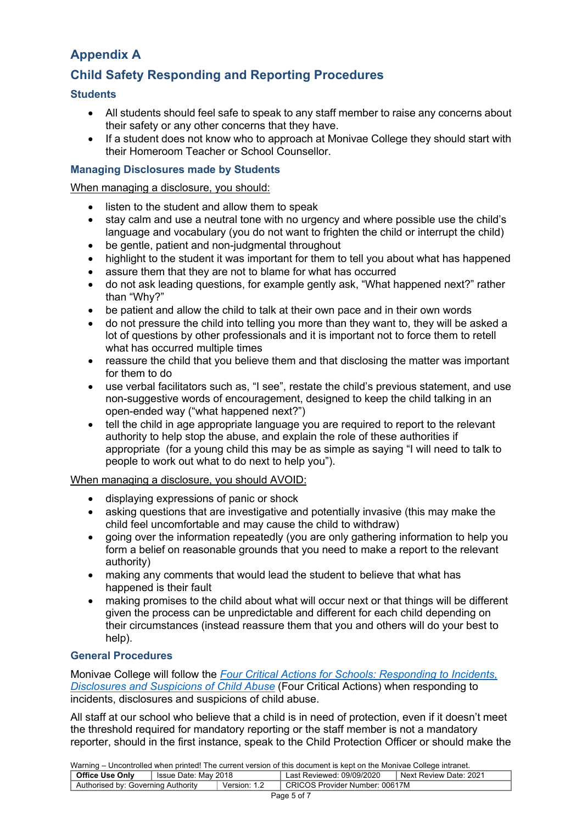# **Appendix A**

# **Child Safety Responding and Reporting Procedures**

### **Students**

- All students should feel safe to speak to any staff member to raise any concerns about their safety or any other concerns that they have.
- If a student does not know who to approach at Monivae College they should start with their Homeroom Teacher or School Counsellor.

#### **Managing Disclosures made by Students**

#### When managing a disclosure, you should:

- listen to the student and allow them to speak
- stay calm and use a neutral tone with no urgency and where possible use the child's language and vocabulary (you do not want to frighten the child or interrupt the child)
- be gentle, patient and non-judgmental throughout
- highlight to the student it was important for them to tell you about what has happened
- assure them that they are not to blame for what has occurred
- do not ask leading questions, for example gently ask, "What happened next?" rather than "Why?"
- be patient and allow the child to talk at their own pace and in their own words
- do not pressure the child into telling you more than they want to, they will be asked a lot of questions by other professionals and it is important not to force them to retell what has occurred multiple times
- reassure the child that you believe them and that disclosing the matter was important for them to do
- use verbal facilitators such as, "I see", restate the child's previous statement, and use non-suggestive words of encouragement, designed to keep the child talking in an open-ended way ("what happened next?")
- tell the child in age appropriate language you are required to report to the relevant authority to help stop the abuse, and explain the role of these authorities if appropriate (for a young child this may be as simple as saying "I will need to talk to people to work out what to do next to help you").

#### When managing a disclosure, you should AVOID:

- displaying expressions of panic or shock
- asking questions that are investigative and potentially invasive (this may make the child feel uncomfortable and may cause the child to withdraw)
- going over the information repeatedly (you are only gathering information to help you form a belief on reasonable grounds that you need to make a report to the relevant authority)
- making any comments that would lead the student to believe that what has happened is their fault
- making promises to the child about what will occur next or that things will be different given the process can be unpredictable and different for each child depending on their circumstances (instead reassure them that you and others will do your best to help).

### **General Procedures**

Monivae College will follow the *Four Critical Actions for Schools: Responding to Incidents, Disclosures and Suspicions of Child Abuse* (Four Critical Actions) when responding to incidents, disclosures and suspicions of child abuse.

All staff at our school who believe that a child is in need of protection, even if it doesn't meet the threshold required for mandatory reporting or the staff member is not a mandatory reporter, should in the first instance, speak to the Child Protection Officer or should make the

| <b>Training Chroninollog Milen printed:</b> The cartent relation of this accuracit is Rept on the Monivac College Intranct. |  |                           |                                |  |  |  |  |
|-----------------------------------------------------------------------------------------------------------------------------|--|---------------------------|--------------------------------|--|--|--|--|
| <b>Office Use Only</b><br>Issue Date: May 2018                                                                              |  | Last Reviewed: 09/09/2020 | Next Review Date: 2021         |  |  |  |  |
| Authorised by: Governing Authority                                                                                          |  | Version: 1.2              | CRICOS Provider Number: 00617M |  |  |  |  |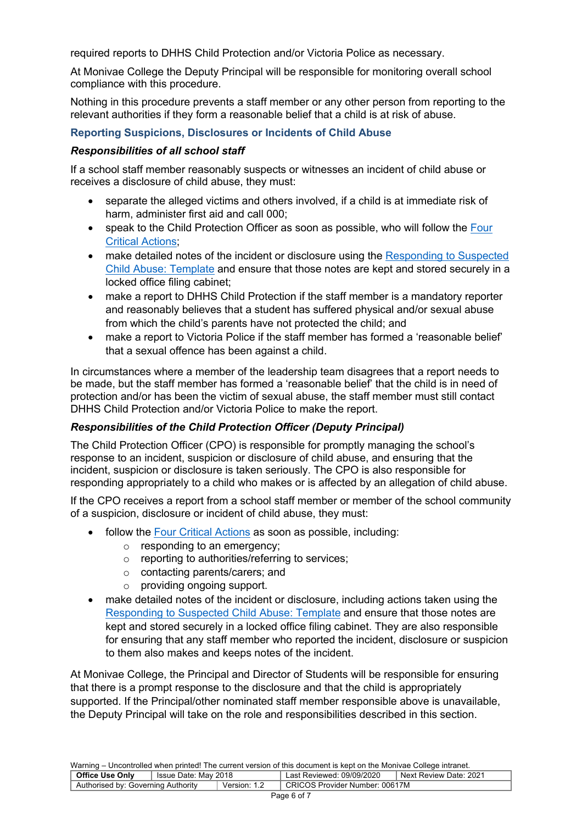required reports to DHHS Child Protection and/or Victoria Police as necessary.

At Monivae College the Deputy Principal will be responsible for monitoring overall school compliance with this procedure.

Nothing in this procedure prevents a staff member or any other person from reporting to the relevant authorities if they form a reasonable belief that a child is at risk of abuse.

### **Reporting Suspicions, Disclosures or Incidents of Child Abuse**

#### *Responsibilities of all school staff*

If a school staff member reasonably suspects or witnesses an incident of child abuse or receives a disclosure of child abuse, they must:

- separate the alleged victims and others involved, if a child is at immediate risk of harm, administer first aid and call 000;
- speak to the Child Protection Officer as soon as possible, who will follow the Four Critical Actions;
- make detailed notes of the incident or disclosure using the Responding to Suspected Child Abuse: Template and ensure that those notes are kept and stored securely in a locked office filing cabinet;
- make a report to DHHS Child Protection if the staff member is a mandatory reporter and reasonably believes that a student has suffered physical and/or sexual abuse from which the child's parents have not protected the child; and
- make a report to Victoria Police if the staff member has formed a 'reasonable belief' that a sexual offence has been against a child.

In circumstances where a member of the leadership team disagrees that a report needs to be made, but the staff member has formed a 'reasonable belief' that the child is in need of protection and/or has been the victim of sexual abuse, the staff member must still contact DHHS Child Protection and/or Victoria Police to make the report.

#### *Responsibilities of the Child Protection Officer (Deputy Principal)*

The Child Protection Officer (CPO) is responsible for promptly managing the school's response to an incident, suspicion or disclosure of child abuse, and ensuring that the incident, suspicion or disclosure is taken seriously. The CPO is also responsible for responding appropriately to a child who makes or is affected by an allegation of child abuse.

If the CPO receives a report from a school staff member or member of the school community of a suspicion, disclosure or incident of child abuse, they must:

- follow the Four Critical Actions as soon as possible, including:
	- o responding to an emergency;
	- o reporting to authorities/referring to services;
	- o contacting parents/carers; and
	- o providing ongoing support.
- make detailed notes of the incident or disclosure, including actions taken using the Responding to Suspected Child Abuse: Template and ensure that those notes are kept and stored securely in a locked office filing cabinet. They are also responsible for ensuring that any staff member who reported the incident, disclosure or suspicion to them also makes and keeps notes of the incident.

At Monivae College, the Principal and Director of Students will be responsible for ensuring that there is a prompt response to the disclosure and that the child is appropriately supported. If the Principal/other nominated staff member responsible above is unavailable, the Deputy Principal will take on the role and responsibilities described in this section.

| <u>training</u> choosing and might princed the canonic reference of and accumum to hope on and momentum concepts in anom |                                   |              |                                |                        |  |  |
|--------------------------------------------------------------------------------------------------------------------------|-----------------------------------|--------------|--------------------------------|------------------------|--|--|
| <b>Office Use Only</b>                                                                                                   | <sup>1</sup> Issue Date: May 2018 |              | Last Reviewed: 09/09/2020      | Next Review Date: 2021 |  |  |
| Authorised by: Governing Authority                                                                                       |                                   | Version: 1.2 | CRICOS Provider Number: 00617M |                        |  |  |